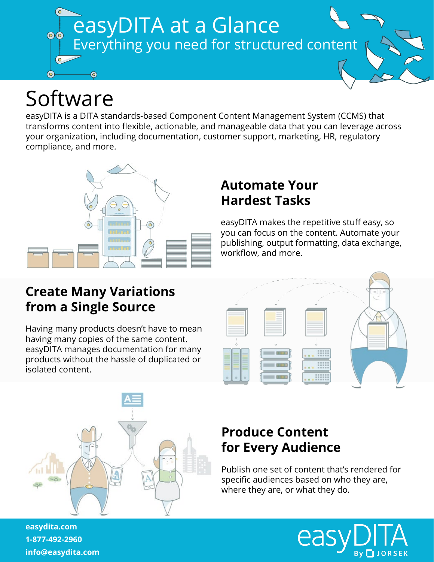

## Software

easyDITA is a DITA standards-based Component Content Management System (CCMS) that transforms content into flexible, actionable, and manageable data that you can leverage across your organization, including documentation, customer support, marketing, HR, regulatory compliance, and more.



## **Automate Your Hardest Tasks**

easyDITA makes the repetitive stuff easy, so you can focus on the content. Automate your publishing, output formatting, data exchange, workflow, and more.

## **Create Many Variations from a Single Source**

Having many products doesn't have to mean having many copies of the same content. easyDITA manages documentation for many products without the hassle of duplicated or isolated content.





## **Produce Content for Every Audience**

Publish one set of content that's rendered for specific audiences based on who they are, where they are, or what they do.



**easydita.com 1-877-492-2960 info@easydita.com**